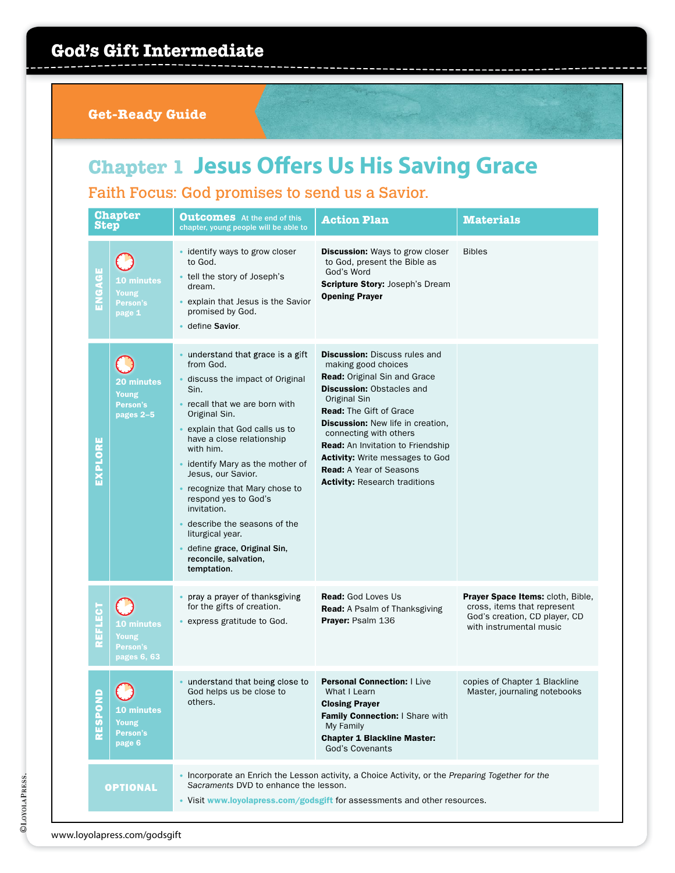#### **Get-Ready Guide**

# **Chapter 1 Jesus Offers Us His Saving Grace**

Faith Focus: God promises to send us a Savior.

| <b>Step</b>  | <b>Chapter</b>                                      | <b>Outcomes</b> At the end of this<br>chapter, young people will be able to                                                                                                                                                                                                                                                                                                                                                                                                | <b>Action Plan</b>                                                                                                                                                                                                                                                                                                                                                                                                      | <b>Materials</b>                                                                                                             |
|--------------|-----------------------------------------------------|----------------------------------------------------------------------------------------------------------------------------------------------------------------------------------------------------------------------------------------------------------------------------------------------------------------------------------------------------------------------------------------------------------------------------------------------------------------------------|-------------------------------------------------------------------------------------------------------------------------------------------------------------------------------------------------------------------------------------------------------------------------------------------------------------------------------------------------------------------------------------------------------------------------|------------------------------------------------------------------------------------------------------------------------------|
| ENGAGE       | <b>10 minutes</b><br>Young<br>Person's<br>page 1    | identify ways to grow closer<br>to God.<br>tell the story of Joseph's<br>dream.<br>explain that Jesus is the Savior<br>promised by God.<br>define Savior.                                                                                                                                                                                                                                                                                                                  | <b>Discussion:</b> Ways to grow closer<br>to God, present the Bible as<br>God's Word<br><b>Scripture Story: Joseph's Dream</b><br><b>Opening Prayer</b>                                                                                                                                                                                                                                                                 | <b>Bibles</b>                                                                                                                |
| EXPLORE      | <b>20 minutes</b><br>Young<br>Person's<br>pages 2-5 | understand that grace is a gift<br>from God.<br>discuss the impact of Original<br>Sin.<br>recall that we are born with<br>Original Sin.<br>explain that God calls us to<br>have a close relationship<br>with him.<br>identify Mary as the mother of<br>Jesus, our Savior.<br>recognize that Mary chose to<br>respond yes to God's<br>invitation.<br>describe the seasons of the<br>liturgical year.<br>define grace, Original Sin,<br>reconcile, salvation,<br>temptation. | <b>Discussion: Discuss rules and</b><br>making good choices<br>Read: Original Sin and Grace<br><b>Discussion: Obstacles and</b><br>Original Sin<br><b>Read:</b> The Gift of Grace<br><b>Discussion:</b> New life in creation,<br>connecting with others<br><b>Read:</b> An Invitation to Friendship<br><b>Activity:</b> Write messages to God<br><b>Read:</b> A Year of Seasons<br><b>Activity: Research traditions</b> |                                                                                                                              |
| REFLECT      | 10 minutes<br>Young<br>Person's<br>pages 6, 63      | pray a prayer of thanksgiving<br>for the gifts of creation.<br>express gratitude to God.                                                                                                                                                                                                                                                                                                                                                                                   | <b>Read:</b> God Loves Us<br>Read: A Psalm of Thanksgiving<br><b>Prayer: Psalm 136</b>                                                                                                                                                                                                                                                                                                                                  | Prayer Space Items: cloth, Bible,<br>cross, items that represent<br>God's creation, CD player, CD<br>with instrumental music |
| <b>RESPO</b> | <b>10 minutes</b><br>Young<br>Person's<br>page 6    | understand that being close to<br>God helps us be close to<br>others.                                                                                                                                                                                                                                                                                                                                                                                                      | <b>Personal Connection: I Live</b><br>What I Learn<br><b>Closing Prayer</b><br>Family Connection: I Share with<br>My Family<br><b>Chapter 1 Blackline Master:</b><br><b>God's Covenants</b>                                                                                                                                                                                                                             | copies of Chapter 1 Blackline<br>Master, journaling notebooks                                                                |
|              | <b>OPTIONAL</b>                                     | Sacraments DVD to enhance the lesson.                                                                                                                                                                                                                                                                                                                                                                                                                                      | Incorporate an Enrich the Lesson activity, a Choice Activity, or the Preparing Together for the<br>• Visit www.loyolapress.com/godsgift for assessments and other resources.                                                                                                                                                                                                                                            |                                                                                                                              |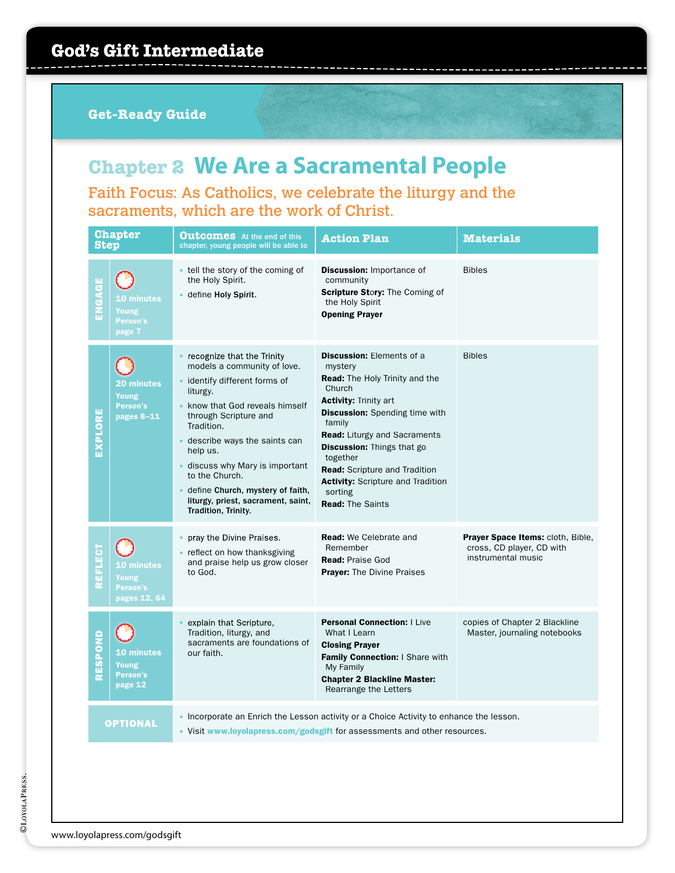## **Chapter 2 We Are a Sacramental People**

Faith Focus: As Catholics, we celebrate the liturgy and the sacraments, which are the work of Christ.

| <b>Step</b>    | <b>Chapter</b>                                         | <b>Outcomes</b> At the end of this<br>chapter, young people will be able to                                                                                                                                                                                                                                                                                                    | <b>Action Plan</b>                                                                                                                                                                                                                                                                                                                                                                                  | <b>Materials</b>                                                                     |
|----------------|--------------------------------------------------------|--------------------------------------------------------------------------------------------------------------------------------------------------------------------------------------------------------------------------------------------------------------------------------------------------------------------------------------------------------------------------------|-----------------------------------------------------------------------------------------------------------------------------------------------------------------------------------------------------------------------------------------------------------------------------------------------------------------------------------------------------------------------------------------------------|--------------------------------------------------------------------------------------|
| ENGAGE         | <b>10 minutes</b><br>Young<br>Person's<br>page 7       | • tell the story of the coming of<br>the Holy Spirit.<br>· define Holy Spirit.                                                                                                                                                                                                                                                                                                 | <b>Discussion: Importance of</b><br>community<br><b>Scripture Story: The Coming of</b><br>the Holy Spirit<br><b>Opening Prayer</b>                                                                                                                                                                                                                                                                  | <b>Bibles</b>                                                                        |
| EXPLORE        | 20 minutes<br>Young<br>Person's<br>pages 8-11          | recognize that the Trinity<br>models a community of love.<br>· identify different forms of<br>liturgy.<br>know that God reveals himself<br>through Scripture and<br>Tradition.<br>describe ways the saints can<br>help us.<br>discuss why Mary is important<br>to the Church.<br>define Church, mystery of faith,<br>liturgy, priest, sacrament, saint,<br>Tradition, Trinity. | <b>Discussion: Elements of a</b><br>mystery<br><b>Read:</b> The Holy Trinity and the<br>Church<br><b>Activity: Trinity art</b><br><b>Discussion:</b> Spending time with<br>family<br><b>Read:</b> Liturgy and Sacraments<br><b>Discussion:</b> Things that go<br>together<br><b>Read:</b> Scripture and Tradition<br><b>Activity:</b> Scripture and Tradition<br>sorting<br><b>Read: The Saints</b> | <b>Bibles</b>                                                                        |
| <b>REFLECT</b> | <b>10 minutes</b><br>Young<br>Person's<br>pages 12, 64 | pray the Divine Praises.<br>• reflect on how thanksgiving<br>and praise help us grow closer<br>to God.                                                                                                                                                                                                                                                                         | <b>Read:</b> We Celebrate and<br>Remember<br><b>Read: Praise God</b><br><b>Prayer:</b> The Divine Praises                                                                                                                                                                                                                                                                                           | Prayer Space Items: cloth, Bible,<br>cross, CD player, CD with<br>instrumental music |
| RESPOND        | 10 minutes<br>Young<br>Person's<br>page 12             | explain that Scripture,<br>Tradition, liturgy, and<br>sacraments are foundations of<br>our faith.                                                                                                                                                                                                                                                                              | <b>Personal Connection:   Live</b><br>What I Learn<br><b>Closing Prayer</b><br>Family Connection: I Share with<br>My Family<br><b>Chapter 2 Blackline Master:</b><br>Rearrange the Letters                                                                                                                                                                                                          | copies of Chapter 2 Blackline<br>Master, journaling notebooks                        |
|                | <b>OPTIONAL</b>                                        |                                                                                                                                                                                                                                                                                                                                                                                | • Incorporate an Enrich the Lesson activity or a Choice Activity to enhance the lesson.<br>• Visit www.loyolapress.com/godsgift for assessments and other resources.                                                                                                                                                                                                                                |                                                                                      |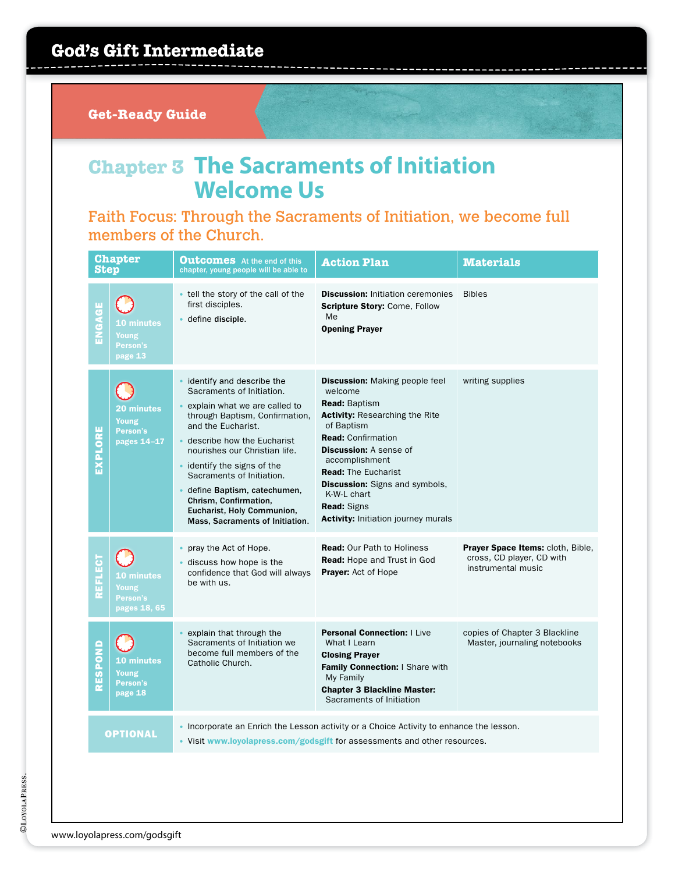#### **Get-Ready Guide**

### **Chapter 3 The Sacraments of Initiation Welcome Us**

#### Faith Focus: Through the Sacraments of Initiation, we become full members of the Church.

| <b>Step</b> | <b>Chapter</b>                                    | <b>Outcomes</b> At the end of this<br>chapter, young people will be able to                                                                                                                                                                                                                                                                                                                           | <b>Action Plan</b>                                                                                                                                                                                                                                                                                                                                                        | <b>Materials</b>                                                                            |
|-------------|---------------------------------------------------|-------------------------------------------------------------------------------------------------------------------------------------------------------------------------------------------------------------------------------------------------------------------------------------------------------------------------------------------------------------------------------------------------------|---------------------------------------------------------------------------------------------------------------------------------------------------------------------------------------------------------------------------------------------------------------------------------------------------------------------------------------------------------------------------|---------------------------------------------------------------------------------------------|
| GAGE<br>즚   | <b>10 minutes</b><br>Young<br>Person's<br>page 13 | • tell the story of the call of the<br>first disciples.<br>define disciple.                                                                                                                                                                                                                                                                                                                           | <b>Discussion: Initiation ceremonies</b><br><b>Scripture Story: Come, Follow</b><br>Me<br><b>Opening Prayer</b>                                                                                                                                                                                                                                                           | <b>Bibles</b>                                                                               |
| EXPLORE     | 20 minutes<br>Young<br>Person's<br>pages 14-17    | identify and describe the<br>Sacraments of Initiation.<br>explain what we are called to<br>through Baptism, Confirmation,<br>and the Eucharist.<br>• describe how the Eucharist<br>nourishes our Christian life.<br>• identify the signs of the<br>Sacraments of Initiation.<br>define Baptism, catechumen,<br>Chrism, Confirmation,<br>Eucharist, Holy Communion,<br>Mass, Sacraments of Initiation. | <b>Discussion:</b> Making people feel<br>welcome<br><b>Read: Baptism</b><br><b>Activity:</b> Researching the Rite<br>of Baptism<br><b>Read: Confirmation</b><br><b>Discussion: A sense of</b><br>accomplishment<br><b>Read:</b> The Eucharist<br><b>Discussion:</b> Signs and symbols,<br>K-W-L chart<br><b>Read: Signs</b><br><b>Activity: Initiation journey murals</b> | writing supplies                                                                            |
| EFLECT<br>œ | 10 minutes<br>Young<br>Person's<br>pages 18, 65   | pray the Act of Hope.<br>discuss how hope is the<br>confidence that God will always<br>he with us.                                                                                                                                                                                                                                                                                                    | <b>Read: Our Path to Holiness</b><br><b>Read:</b> Hope and Trust in God<br>Prayer: Act of Hope                                                                                                                                                                                                                                                                            | <b>Prayer Space Items: cloth, Bible,</b><br>cross, CD player, CD with<br>instrumental music |
| RESPOND     | <b>10 minutes</b><br>Young<br>Person's<br>page 18 | explain that through the<br>Sacraments of Initiation we<br>become full members of the<br>Catholic Church.                                                                                                                                                                                                                                                                                             | <b>Personal Connection: I Live</b><br>What I Learn<br><b>Closing Prayer</b><br>Family Connection: I Share with<br>My Family<br><b>Chapter 3 Blackline Master:</b><br>Sacraments of Initiation                                                                                                                                                                             | copies of Chapter 3 Blackline<br>Master, journaling notebooks                               |
|             | <b>OPTIONAL</b>                                   |                                                                                                                                                                                                                                                                                                                                                                                                       | • Incorporate an Enrich the Lesson activity or a Choice Activity to enhance the lesson.<br>• Visit www.loyolapress.com/godsgift for assessments and other resources.                                                                                                                                                                                                      |                                                                                             |
|             |                                                   |                                                                                                                                                                                                                                                                                                                                                                                                       |                                                                                                                                                                                                                                                                                                                                                                           |                                                                                             |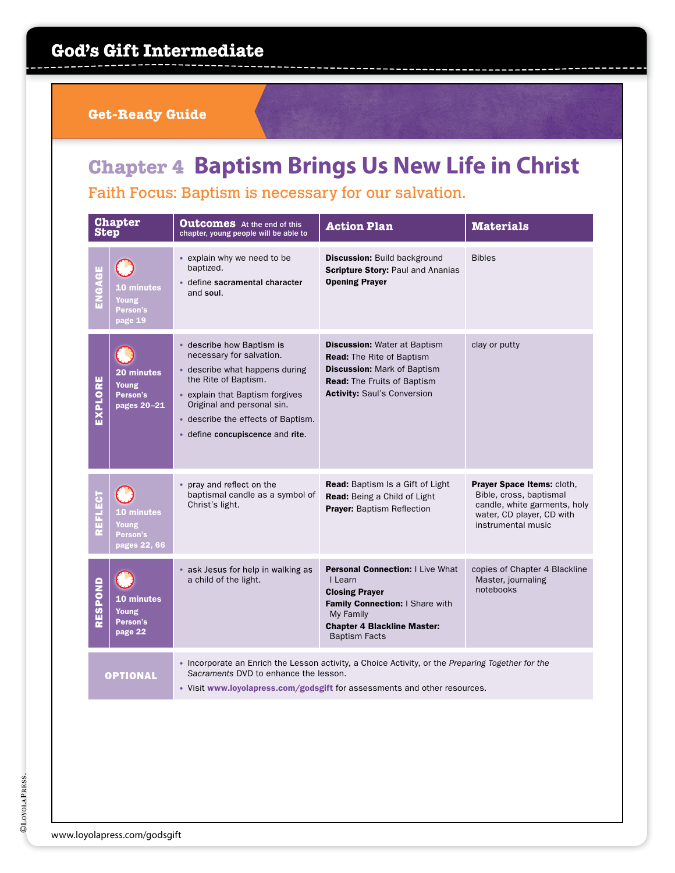**Get-Ready Guide**

# **Chapter 4 Baptism Brings Us New Life in Christ**

Faith Focus: Baptism is necessary for our salvation.

| <b>Step</b>     | <b>Chapter</b>                                    | <b>Outcomes</b> At the end of this<br>chapter, young people will be able to                                                                                                                                                                                | <b>Action Plan</b>                                                                                                                                                                        | <b>Materials</b>                                                                                                                         |
|-----------------|---------------------------------------------------|------------------------------------------------------------------------------------------------------------------------------------------------------------------------------------------------------------------------------------------------------------|-------------------------------------------------------------------------------------------------------------------------------------------------------------------------------------------|------------------------------------------------------------------------------------------------------------------------------------------|
| ENGAGE          | <b>10 minutes</b><br>Young<br>Person's<br>page 19 | • explain why we need to be<br>baptized.<br>· define sacramental character<br>and soul.                                                                                                                                                                    | <b>Discussion: Build background</b><br><b>Scripture Story: Paul and Ananias</b><br><b>Opening Prayer</b>                                                                                  | <b>Bibles</b>                                                                                                                            |
| EXPLORE         | 20 minutes<br>Young<br>Person's<br>pages 20-21    | • describe how Baptism is<br>necessary for salvation.<br>• describe what happens during<br>the Rite of Baptism.<br>• explain that Baptism forgives<br>Original and personal sin.<br>• describe the effects of Baptism.<br>· define concupiscence and rite. | <b>Discussion: Water at Baptism</b><br><b>Read:</b> The Rite of Baptism<br><b>Discussion: Mark of Baptism</b><br><b>Read:</b> The Fruits of Baptism<br><b>Activity: Saul's Conversion</b> | clay or putty                                                                                                                            |
| EFLECT          | 10 minutes<br>Young<br>Person's<br>pages 22, 66   | pray and reflect on the<br>baptismal candle as a symbol of<br>Christ's light.                                                                                                                                                                              | Read: Baptism Is a Gift of Light<br>Read: Being a Child of Light<br><b>Prayer: Baptism Reflection</b>                                                                                     | Prayer Space Items: cloth,<br>Bible, cross, baptismal<br>candle, white garments, holy<br>water, CD player, CD with<br>instrumental music |
| RESPOND         | <b>10 minutes</b><br>Young<br>Person's<br>page 22 | • ask Jesus for help in walking as<br>a child of the light.                                                                                                                                                                                                | <b>Personal Connection: I Live What</b><br>I Learn<br><b>Closing Prayer</b><br>Family Connection: I Share with<br>My Family<br><b>Chapter 4 Blackline Master:</b><br><b>Baptism Facts</b> | copies of Chapter 4 Blackline<br>Master, journaling<br>notebooks                                                                         |
| <b>OPTIONAL</b> |                                                   | Sacraments DVD to enhance the lesson.                                                                                                                                                                                                                      | • Incorporate an Enrich the Lesson activity, a Choice Activity, or the Preparing Together for the<br>• Visit www.loyolapress.com/godsgift for assessments and other resources.            |                                                                                                                                          |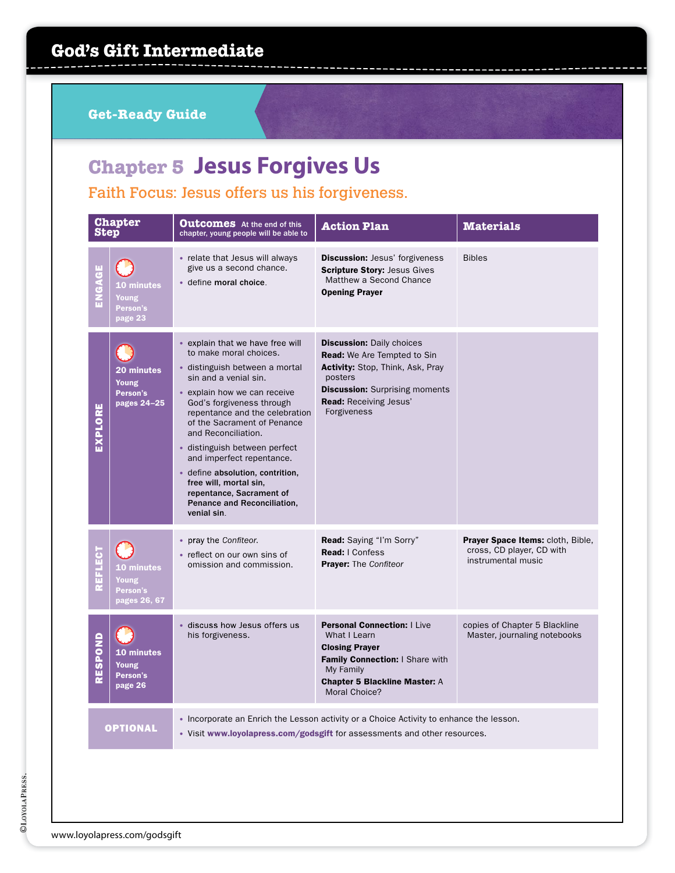**Get-Ready Guide**

# **Chapter 5 Jesus Forgives Us**

Faith Focus: Jesus offers us his forgiveness.

| <b>Step</b> | <b>Chapter</b>                                         | <b>Outcomes</b> At the end of this<br>chapter, young people will be able to                                                                                                                                                                                                                                                                                                                                                                                                      | <b>Action Plan</b>                                                                                                                                                                                      | <b>Materials</b>                                                                     |
|-------------|--------------------------------------------------------|----------------------------------------------------------------------------------------------------------------------------------------------------------------------------------------------------------------------------------------------------------------------------------------------------------------------------------------------------------------------------------------------------------------------------------------------------------------------------------|---------------------------------------------------------------------------------------------------------------------------------------------------------------------------------------------------------|--------------------------------------------------------------------------------------|
| ENGAGE      | <b>10 minutes</b><br>Young<br>Person's<br>page 23      | • relate that Jesus will always<br>give us a second chance.<br>· define moral choice.                                                                                                                                                                                                                                                                                                                                                                                            | <b>Discussion:</b> Jesus' forgiveness<br><b>Scripture Story: Jesus Gives</b><br>Matthew a Second Chance<br><b>Opening Prayer</b>                                                                        | <b>Bibles</b>                                                                        |
| EXPLORE     | 20 minutes<br>Young<br>Person's<br>pages 24-25         | • explain that we have free will<br>to make moral choices.<br>· distinguish between a mortal<br>sin and a venial sin.<br>• explain how we can receive<br>God's forgiveness through<br>repentance and the celebration<br>of the Sacrament of Penance<br>and Reconciliation.<br>· distinguish between perfect<br>and imperfect repentance.<br>· define absolution, contrition,<br>free will, mortal sin,<br>repentance, Sacrament of<br>Penance and Reconciliation,<br>venial sin. | <b>Discussion: Daily choices</b><br><b>Read:</b> We Are Tempted to Sin<br>Activity: Stop, Think, Ask, Pray<br>posters<br><b>Discussion:</b> Surprising moments<br>Read: Receiving Jesus'<br>Forgiveness |                                                                                      |
| REFLECT     | <b>10 minutes</b><br>Young<br>Person's<br>pages 26, 67 | pray the Confiteor.<br>$\bullet$<br>• reflect on our own sins of<br>omission and commission.                                                                                                                                                                                                                                                                                                                                                                                     | Read: Saying "I'm Sorry"<br><b>Read:   Confess</b><br><b>Prayer:</b> The Confiteor                                                                                                                      | Prayer Space Items: cloth, Bible,<br>cross, CD player, CD with<br>instrumental music |
| RESPOND     | 10 minutes<br>Young<br>Person's<br>page 26             | · discuss how Jesus offers us<br>his forgiveness.                                                                                                                                                                                                                                                                                                                                                                                                                                | <b>Personal Connection: I Live</b><br>What I Learn<br><b>Closing Prayer</b><br>Family Connection: I Share with<br>My Family<br><b>Chapter 5 Blackline Master: A</b><br>Moral Choice?                    | copies of Chapter 5 Blackline<br>Master, journaling notebooks                        |
|             | <b>OPTIONAL</b>                                        |                                                                                                                                                                                                                                                                                                                                                                                                                                                                                  | • Incorporate an Enrich the Lesson activity or a Choice Activity to enhance the lesson.<br>• Visit www.loyolapress.com/godsgift for assessments and other resources.                                    |                                                                                      |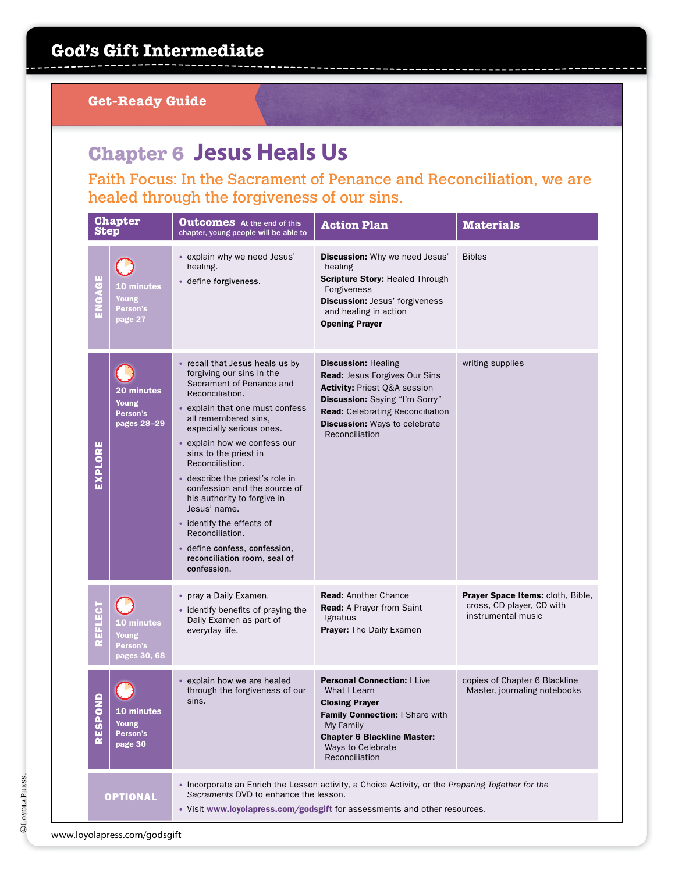### **Chapter 6 Jesus Heals Us**

Faith Focus: In the Sacrament of Penance and Reconciliation, we are healed through the forgiveness of our sins.

| <b>Step</b>    | <b>Chapter</b>                                         | <b>Outcomes</b> At the end of this<br>chapter, young people will be able to                                                                                                                                                                                                                                                                                                                                                                                                                                                      | <b>Action Plan</b>                                                                                                                                                                                                                 | <b>Materials</b>                                                                            |
|----------------|--------------------------------------------------------|----------------------------------------------------------------------------------------------------------------------------------------------------------------------------------------------------------------------------------------------------------------------------------------------------------------------------------------------------------------------------------------------------------------------------------------------------------------------------------------------------------------------------------|------------------------------------------------------------------------------------------------------------------------------------------------------------------------------------------------------------------------------------|---------------------------------------------------------------------------------------------|
| ENGAGE         | 10 minutes<br>Young<br>Person's<br>page 27             | • explain why we need Jesus'<br>healing.<br>• define forgiveness.                                                                                                                                                                                                                                                                                                                                                                                                                                                                | Discussion: Why we need Jesus'<br>healing<br><b>Scripture Story: Healed Through</b><br>Forgiveness<br><b>Discussion: Jesus' forgiveness</b><br>and healing in action<br><b>Opening Prayer</b>                                      | <b>Bibles</b>                                                                               |
| EXPLORE        | 20 minutes<br>Young<br>Person's<br>pages 28-29         | • recall that Jesus heals us by<br>forgiving our sins in the<br>Sacrament of Penance and<br>Reconciliation.<br>• explain that one must confess<br>all remembered sins,<br>especially serious ones.<br>• explain how we confess our<br>sins to the priest in<br>Reconciliation.<br>• describe the priest's role in<br>confession and the source of<br>his authority to forgive in<br>Jesus' name.<br>• identify the effects of<br>Reconciliation.<br>· define confess, confession,<br>reconciliation room, seal of<br>confession. | <b>Discussion: Healing</b><br><b>Read: Jesus Forgives Our Sins</b><br>Activity: Priest Q&A session<br>Discussion: Saying "I'm Sorry"<br><b>Read:</b> Celebrating Reconciliation<br>Discussion: Ways to celebrate<br>Reconciliation | writing supplies                                                                            |
| <b>REFLECT</b> | <b>10 minutes</b><br>Young<br>Person's<br>pages 30, 68 | • pray a Daily Examen.<br>• identify benefits of praying the<br>Daily Examen as part of<br>everyday life.                                                                                                                                                                                                                                                                                                                                                                                                                        | <b>Read: Another Chance</b><br><b>Read:</b> A Prayer from Saint<br>Ignatius<br>Prayer: The Daily Examen                                                                                                                            | <b>Prayer Space Items: cloth, Bible,</b><br>cross, CD player, CD with<br>instrumental music |
| <b>RESPO</b>   | 10 minutes<br>Young<br>Person's<br>page 30             | explain how we are healed<br>through the forgiveness of our<br>sins.                                                                                                                                                                                                                                                                                                                                                                                                                                                             | <b>Personal Connection: I Live</b><br>What I Learn<br><b>Closing Prayer</b><br>Family Connection: I Share with<br>My Family<br><b>Chapter 6 Blackline Master:</b><br>Ways to Celebrate<br>Reconciliation                           | copies of Chapter 6 Blackline<br>Master, journaling notebooks                               |
|                | <b>OPTIONAL</b>                                        | Sacraments DVD to enhance the lesson.                                                                                                                                                                                                                                                                                                                                                                                                                                                                                            | • Incorporate an Enrich the Lesson activity, a Choice Activity, or the Preparing Together for the<br>• Visit www.loyolapress.com/godsgift for assessments and other resources.                                                     |                                                                                             |

www.loyolapress.com/godsgift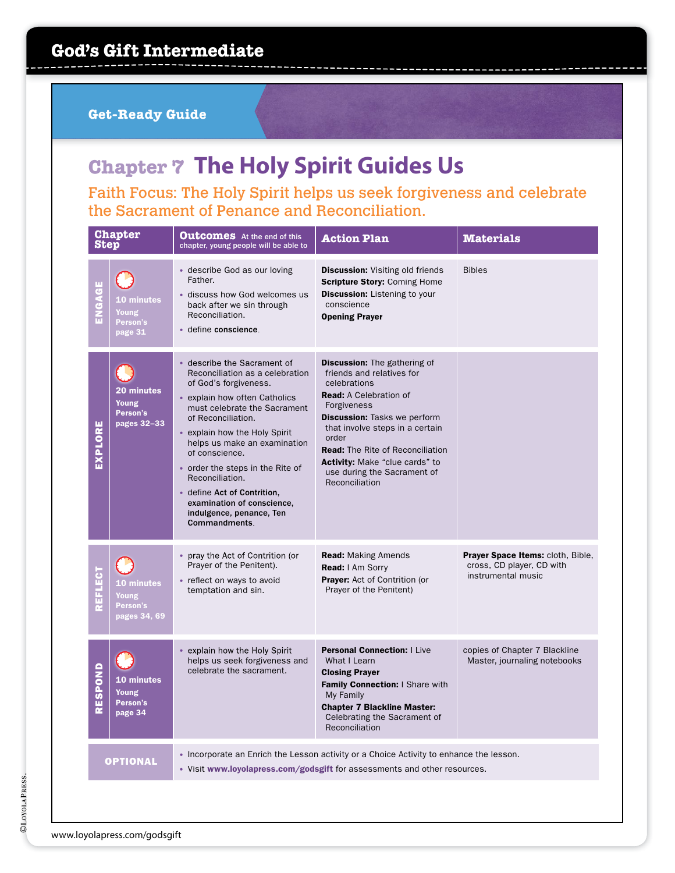# **Chapter 7 The Holy Spirit Guides Us**

Faith Focus: The Holy Spirit helps us seek forgiveness and celebrate the Sacrament of Penance and Reconciliation.

| <b>Step</b>    | <b>Chapter</b>                                    | <b>Outcomes</b> At the end of this<br>chapter, young people will be able to                                                                                                                                                                                                                                                                                                                                                      | <b>Action Plan</b>                                                                                                                                                                                                                                                                                                                         | <b>Materials</b>                                                                     |
|----------------|---------------------------------------------------|----------------------------------------------------------------------------------------------------------------------------------------------------------------------------------------------------------------------------------------------------------------------------------------------------------------------------------------------------------------------------------------------------------------------------------|--------------------------------------------------------------------------------------------------------------------------------------------------------------------------------------------------------------------------------------------------------------------------------------------------------------------------------------------|--------------------------------------------------------------------------------------|
| ENGAGE         | <b>10 minutes</b><br>Young<br>Person's<br>page 31 | • describe God as our loving<br>Father.<br>· discuss how God welcomes us<br>back after we sin through<br>Reconciliation.<br>· define conscience.                                                                                                                                                                                                                                                                                 | <b>Discussion:</b> Visiting old friends<br><b>Scripture Story: Coming Home</b><br><b>Discussion:</b> Listening to your<br>conscience<br><b>Opening Prayer</b>                                                                                                                                                                              | <b>Bibles</b>                                                                        |
| EXPLORE        | 20 minutes<br>Young<br>Person's<br>pages 32-33    | describe the Sacrament of<br>Reconciliation as a celebration<br>of God's forgiveness.<br>• explain how often Catholics<br>must celebrate the Sacrament<br>of Reconciliation.<br>• explain how the Holy Spirit<br>helps us make an examination<br>of conscience.<br>• order the steps in the Rite of<br>Reconciliation.<br>• define Act of Contrition,<br>examination of conscience,<br>indulgence, penance, Ten<br>Commandments. | Discussion: The gathering of<br>friends and relatives for<br>celebrations<br><b>Read:</b> A Celebration of<br>Forgiveness<br><b>Discussion:</b> Tasks we perform<br>that involve steps in a certain<br>order<br><b>Read:</b> The Rite of Reconciliation<br>Activity: Make "clue cards" to<br>use during the Sacrament of<br>Reconciliation |                                                                                      |
| <b>REFLECT</b> | 10 minutes<br>Young<br>Person's<br>pages 34, 69   | pray the Act of Contrition (or<br>Prayer of the Penitent).<br>• reflect on ways to avoid<br>temptation and sin.                                                                                                                                                                                                                                                                                                                  | <b>Read:</b> Making Amends<br><b>Read:</b> I Am Sorry<br>Prayer: Act of Contrition (or<br>Prayer of the Penitent)                                                                                                                                                                                                                          | Prayer Space Items: cloth, Bible,<br>cross, CD player, CD with<br>instrumental music |
| RESPOND        | 10 minutes<br><b>Young</b><br>Person's<br>page 34 | • explain how the Holy Spirit<br>helps us seek forgiveness and<br>celebrate the sacrament.                                                                                                                                                                                                                                                                                                                                       | <b>Personal Connection:   Live</b><br>What I Learn<br><b>Closing Prayer</b><br>Family Connection: I Share with<br>My Family<br><b>Chapter 7 Blackline Master:</b><br>Celebrating the Sacrament of<br>Reconciliation                                                                                                                        | copies of Chapter 7 Blackline<br>Master, journaling notebooks                        |
|                | <b>OPTIONAL</b>                                   |                                                                                                                                                                                                                                                                                                                                                                                                                                  | • Incorporate an Enrich the Lesson activity or a Choice Activity to enhance the lesson.<br>• Visit www.loyolapress.com/godsgift for assessments and other resources.                                                                                                                                                                       |                                                                                      |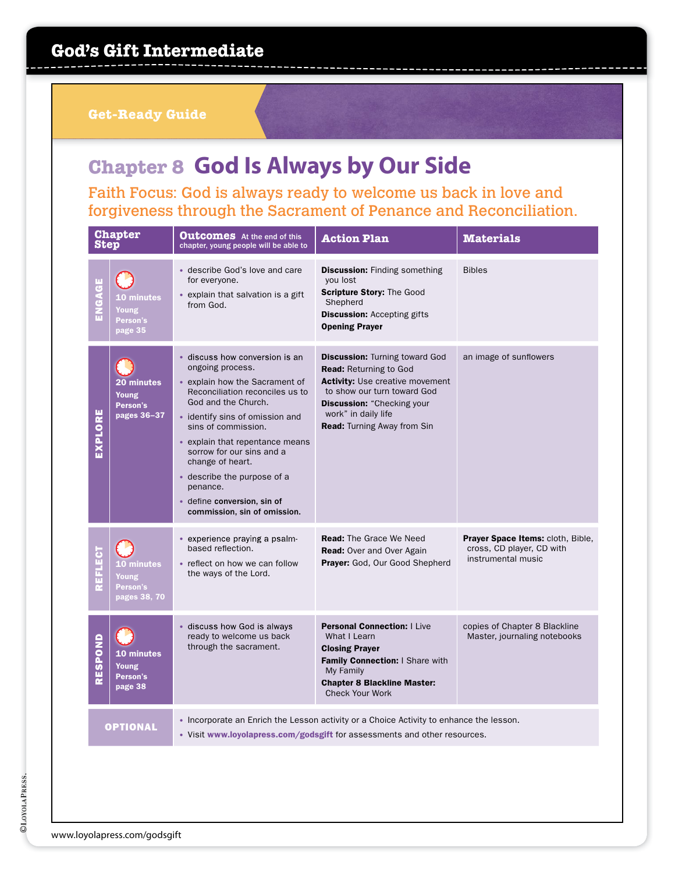## **Chapter 8 God Is Always by Our Side**

Faith Focus: God is always ready to welcome us back in love and forgiveness through the Sacrament of Penance and Reconciliation.

| <b>Step</b>    | <b>Chapter</b>                                  | <b>Outcomes</b> At the end of this<br>chapter, young people will be able to                                                                                                                                                                                                                                                                                                                            | <b>Action Plan</b>                                                                                                                                                                                                                                | <b>Materials</b>                                                                     |
|----------------|-------------------------------------------------|--------------------------------------------------------------------------------------------------------------------------------------------------------------------------------------------------------------------------------------------------------------------------------------------------------------------------------------------------------------------------------------------------------|---------------------------------------------------------------------------------------------------------------------------------------------------------------------------------------------------------------------------------------------------|--------------------------------------------------------------------------------------|
| ENGAGE         | 10 minutes<br>Young<br>Person's<br>page 35      | • describe God's love and care<br>for everyone.<br>• explain that salvation is a gift<br>from God.                                                                                                                                                                                                                                                                                                     | <b>Discussion:</b> Finding something<br>you lost<br>Scripture Story: The Good<br>Shepherd<br><b>Discussion: Accepting gifts</b><br><b>Opening Prayer</b>                                                                                          | <b>Bibles</b>                                                                        |
| EXPLORE        | 20 minutes<br>Young<br>Person's<br>pages 36-37  | · discuss how conversion is an<br>ongoing process.<br>• explain how the Sacrament of<br>Reconciliation reconciles us to<br>God and the Church.<br>• identify sins of omission and<br>sins of commission.<br>• explain that repentance means<br>sorrow for our sins and a<br>change of heart.<br>• describe the purpose of a<br>penance.<br>• define conversion, sin of<br>commission, sin of omission. | <b>Discussion: Turning toward God</b><br><b>Read:</b> Returning to God<br><b>Activity:</b> Use creative movement<br>to show our turn toward God<br><b>Discussion:</b> "Checking your<br>work" in daily life<br><b>Read:</b> Turning Away from Sin | an image of sunflowers                                                               |
| <b>REFLECT</b> | 10 minutes<br>Young<br>Person's<br>pages 38, 70 | • experience praying a psalm-<br>based reflection.<br>• reflect on how we can follow<br>the ways of the Lord.                                                                                                                                                                                                                                                                                          | <b>Read:</b> The Grace We Need<br><b>Read:</b> Over and Over Again<br>Prayer: God, Our Good Shepherd                                                                                                                                              | Prayer Space Items: cloth, Bible,<br>cross, CD player, CD with<br>instrumental music |
| RESPOND        | 10 minutes<br>Young<br>Person's<br>page 38      | · discuss how God is always<br>ready to welcome us back<br>through the sacrament.                                                                                                                                                                                                                                                                                                                      | <b>Personal Connection: I Live</b><br>What I Learn<br><b>Closing Prayer</b><br>Family Connection: I Share with<br>My Family<br><b>Chapter 8 Blackline Master:</b><br><b>Check Your Work</b>                                                       | copies of Chapter 8 Blackline<br>Master, journaling notebooks                        |
|                | <b>OPTIONAL</b>                                 |                                                                                                                                                                                                                                                                                                                                                                                                        | • Incorporate an Enrich the Lesson activity or a Choice Activity to enhance the lesson.<br>• Visit www.loyolapress.com/godsgift for assessments and other resources.                                                                              |                                                                                      |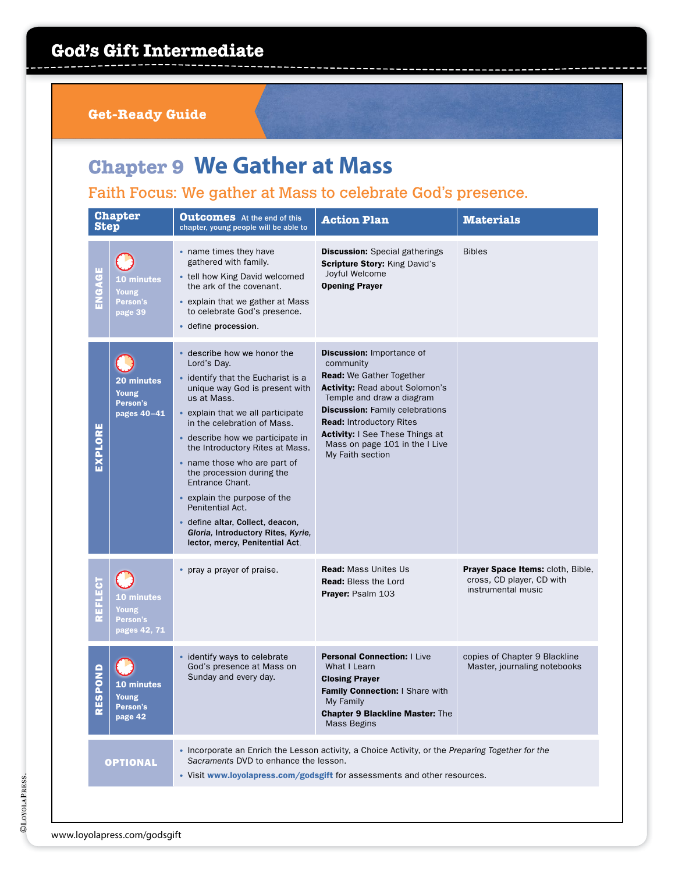**Get-Ready Guide**

## **Chapter 9 We Gather at Mass**

Faith Focus: We gather at Mass to celebrate God's presence.

| <b>Step</b>    | <b>Chapter</b>                                                                                                                                                                                                                             | <b>Outcomes</b> At the end of this<br>chapter, young people will be able to                                                                                                                                                                                                                                                                                                                                                                                                                                                 | <b>Action Plan</b>                                                                                                                                                                                                                                                                                                           | <b>Materials</b>                                                                     |
|----------------|--------------------------------------------------------------------------------------------------------------------------------------------------------------------------------------------------------------------------------------------|-----------------------------------------------------------------------------------------------------------------------------------------------------------------------------------------------------------------------------------------------------------------------------------------------------------------------------------------------------------------------------------------------------------------------------------------------------------------------------------------------------------------------------|------------------------------------------------------------------------------------------------------------------------------------------------------------------------------------------------------------------------------------------------------------------------------------------------------------------------------|--------------------------------------------------------------------------------------|
| ENGAGZ         | <b>10 minutes</b><br>Young<br>Person's<br>page 39                                                                                                                                                                                          | • name times they have<br>gathered with family.<br>• tell how King David welcomed<br>the ark of the covenant.<br>• explain that we gather at Mass<br>to celebrate God's presence.<br>· define procession.                                                                                                                                                                                                                                                                                                                   | <b>Discussion:</b> Special gatherings<br><b>Scripture Story: King David's</b><br>Joyful Welcome<br><b>Opening Prayer</b>                                                                                                                                                                                                     | <b>Bibles</b>                                                                        |
| EXPLORE        | <b>20 minutes</b><br><b>Young</b><br>Person's<br>pages 40-41                                                                                                                                                                               | describe how we honor the<br>Lord's Day.<br>• identify that the Eucharist is a<br>unique way God is present with<br>us at Mass.<br>• explain that we all participate<br>in the celebration of Mass.<br>• describe how we participate in<br>the Introductory Rites at Mass.<br>• name those who are part of<br>the procession during the<br>Entrance Chant.<br>• explain the purpose of the<br>Penitential Act.<br>· define altar, Collect, deacon,<br>Gloria, Introductory Rites, Kyrie,<br>lector, mercy, Penitential Act. | <b>Discussion: Importance of</b><br>community<br>Read: We Gather Together<br><b>Activity: Read about Solomon's</b><br>Temple and draw a diagram<br><b>Discussion:</b> Family celebrations<br><b>Read: Introductory Rites</b><br><b>Activity:</b> I See These Things at<br>Mass on page 101 in the I Live<br>My Faith section |                                                                                      |
| <b>REFLECT</b> | <b>10 minutes</b><br>Young<br>Person's<br>pages 42, 71                                                                                                                                                                                     | pray a prayer of praise.                                                                                                                                                                                                                                                                                                                                                                                                                                                                                                    | <b>Read: Mass Unites Us</b><br><b>Read:</b> Bless the Lord<br>Prayer: Psalm 103                                                                                                                                                                                                                                              | Prayer Space Items: cloth, Bible,<br>cross, CD player, CD with<br>instrumental music |
| SPOND<br>붙     | <b>10 minutes</b><br>Young<br>Person's<br>page 42                                                                                                                                                                                          | identify ways to celebrate<br>God's presence at Mass on<br>Sunday and every day.                                                                                                                                                                                                                                                                                                                                                                                                                                            | <b>Personal Connection:   Live</b><br>What I Learn<br><b>Closing Prayer</b><br>Family Connection: I Share with<br>My Family<br><b>Chapter 9 Blackline Master: The</b><br>Mass Begins                                                                                                                                         | copies of Chapter 9 Blackline<br>Master, journaling notebooks                        |
|                | • Incorporate an Enrich the Lesson activity, a Choice Activity, or the Preparing Together for the<br>Sacraments DVD to enhance the lesson.<br><b>OPTIONAL</b><br>• Visit www.loyolapress.com/godsgift for assessments and other resources. |                                                                                                                                                                                                                                                                                                                                                                                                                                                                                                                             |                                                                                                                                                                                                                                                                                                                              |                                                                                      |
|                |                                                                                                                                                                                                                                            |                                                                                                                                                                                                                                                                                                                                                                                                                                                                                                                             |                                                                                                                                                                                                                                                                                                                              |                                                                                      |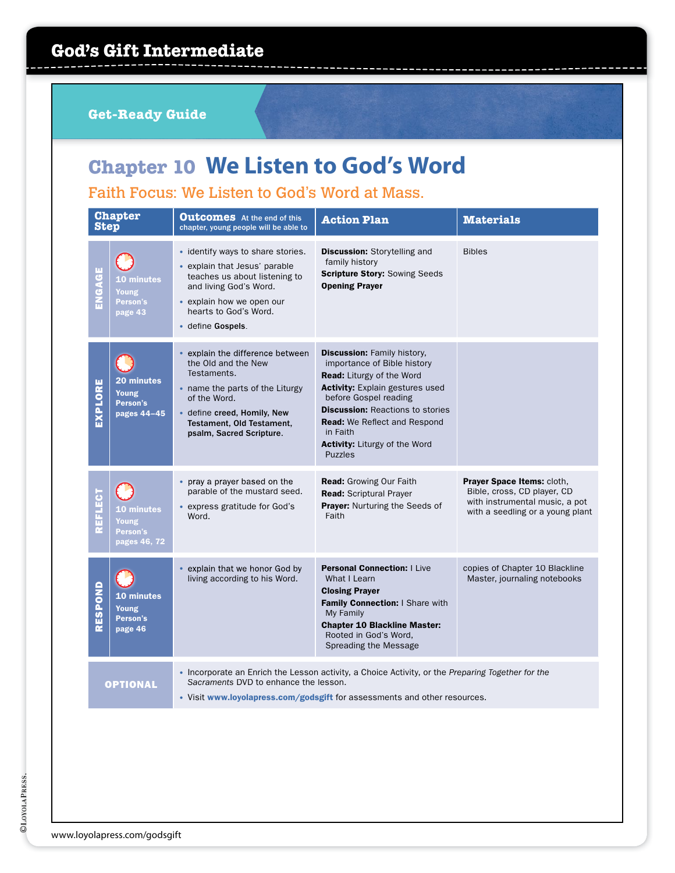# **Chapter 10 We Listen to God's Word**

Faith Focus: We Listen to God's Word at Mass.

| <b>Step</b>                                                                                                                                                   | <b>Chapter</b>                                               | <b>Outcomes</b> At the end of this<br>chapter, young people will be able to                                                                                                                                     | <b>Action Plan</b>                                                                                                                                                                                                                                                                                                               | <b>Materials</b>                                                                                                                |
|---------------------------------------------------------------------------------------------------------------------------------------------------------------|--------------------------------------------------------------|-----------------------------------------------------------------------------------------------------------------------------------------------------------------------------------------------------------------|----------------------------------------------------------------------------------------------------------------------------------------------------------------------------------------------------------------------------------------------------------------------------------------------------------------------------------|---------------------------------------------------------------------------------------------------------------------------------|
| ENGAGE                                                                                                                                                        | <b>10 minutes</b><br>Young<br>Person's<br>page 43            | • identify ways to share stories.<br>• explain that Jesus' parable<br>teaches us about listening to<br>and living God's Word.<br>• explain how we open our<br>hearts to God's Word.<br>• define Gospels.        | <b>Discussion:</b> Storytelling and<br>family history<br><b>Scripture Story: Sowing Seeds</b><br><b>Opening Prayer</b>                                                                                                                                                                                                           | <b>Bibles</b>                                                                                                                   |
| EXPLORE                                                                                                                                                       | <b>20 minutes</b><br><b>Young</b><br>Person's<br>pages 44-45 | explain the difference between<br>the Old and the New<br>Testaments.<br>• name the parts of the Liturgy<br>of the Word.<br>• define creed, Homily, New<br>Testament, Old Testament,<br>psalm, Sacred Scripture. | <b>Discussion: Family history,</b><br>importance of Bible history<br><b>Read:</b> Liturgy of the Word<br><b>Activity:</b> Explain gestures used<br>before Gospel reading<br><b>Discussion: Reactions to stories</b><br><b>Read:</b> We Reflect and Respond<br>in Faith<br><b>Activity:</b> Liturgy of the Word<br><b>Puzzles</b> |                                                                                                                                 |
| REFLECT                                                                                                                                                       | <b>10 minutes</b><br>Young<br>Person's<br>pages 46, 72       | • pray a prayer based on the<br>parable of the mustard seed.<br>• express gratitude for God's<br>Word.                                                                                                          | Read: Growing Our Faith<br><b>Read: Scriptural Prayer</b><br>Prayer: Nurturing the Seeds of<br>Faith                                                                                                                                                                                                                             | Prayer Space Items: cloth,<br>Bible, cross, CD player, CD<br>with instrumental music, a pot<br>with a seedling or a young plant |
| RESPOND                                                                                                                                                       | 10 minutes<br>Young<br>Person's<br>page 46                   | explain that we honor God by<br>living according to his Word.                                                                                                                                                   | <b>Personal Connection:   Live</b><br>What I Learn<br><b>Closing Prayer</b><br>Family Connection: I Share with<br>My Family<br><b>Chapter 10 Blackline Master:</b><br>Rooted in God's Word,<br>Spreading the Message                                                                                                             | copies of Chapter 10 Blackline<br>Master, journaling notebooks                                                                  |
| • Incorporate an Enrich the Lesson activity, a Choice Activity, or the Preparing Together for the<br>Sacraments DVD to enhance the lesson.<br><b>OPTIONAL</b> |                                                              |                                                                                                                                                                                                                 | • Visit www.loyolapress.com/godsgift for assessments and other resources.                                                                                                                                                                                                                                                        |                                                                                                                                 |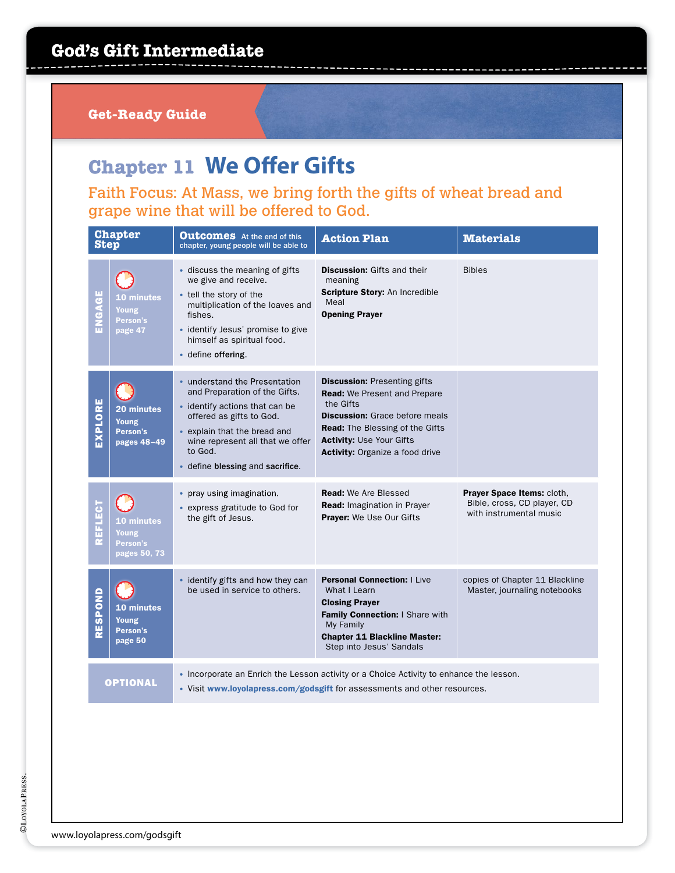**Get-Ready Guide**

### **Chapter 11 We Offer Gifts**

Faith Focus: At Mass, we bring forth the gifts of wheat bread and grape wine that will be offered to God.

| <b>Step</b>    | <b>Chapter</b>                                    | <b>Outcomes</b> At the end of this<br>chapter, young people will be able to                                                                                                                                                                     | <b>Action Plan</b>                                                                                                                                                                                                                               | <b>Materials</b>                                                                     |
|----------------|---------------------------------------------------|-------------------------------------------------------------------------------------------------------------------------------------------------------------------------------------------------------------------------------------------------|--------------------------------------------------------------------------------------------------------------------------------------------------------------------------------------------------------------------------------------------------|--------------------------------------------------------------------------------------|
| ENGAGE         | <b>10 minutes</b><br>Young<br>Person's<br>page 47 | • discuss the meaning of gifts<br>we give and receive.<br>• tell the story of the<br>multiplication of the loaves and<br>fishes.<br>· identify Jesus' promise to give<br>himself as spiritual food.<br>• define offering.                       | <b>Discussion:</b> Gifts and their<br>meaning<br>Scripture Story: An Incredible<br>Meal<br><b>Opening Prayer</b>                                                                                                                                 | <b>Bibles</b>                                                                        |
| EXPLORE        | 20 minutes<br>Young<br>Person's<br>pages 48-49    | • understand the Presentation<br>and Preparation of the Gifts.<br>• identify actions that can be<br>offered as gifts to God.<br>• explain that the bread and<br>wine represent all that we offer<br>to God.<br>• define blessing and sacrifice. | <b>Discussion: Presenting gifts</b><br><b>Read:</b> We Present and Prepare<br>the Gifts<br><b>Discussion:</b> Grace before meals<br><b>Read:</b> The Blessing of the Gifts<br><b>Activity: Use Your Gifts</b><br>Activity: Organize a food drive |                                                                                      |
| <b>REFLECT</b> | 10 minutes<br>Young<br>Person's<br>pages 50, 73   | pray using imagination.<br>$\bullet$<br>• express gratitude to God for<br>the gift of Jesus.                                                                                                                                                    | <b>Read:</b> We Are Blessed<br><b>Read: Imagination in Prayer</b><br><b>Prayer:</b> We Use Our Gifts                                                                                                                                             | Prayer Space Items: cloth,<br>Bible, cross, CD player, CD<br>with instrumental music |
| RESPOND        | <b>10 minutes</b><br>Young<br>Person's<br>page 50 | • identify gifts and how they can<br>be used in service to others.                                                                                                                                                                              | <b>Personal Connection:   Live</b><br>What I Learn<br><b>Closing Prayer</b><br>Family Connection: I Share with<br>My Family<br><b>Chapter 11 Blackline Master:</b><br>Step into Jesus' Sandals                                                   | copies of Chapter 11 Blackline<br>Master, journaling notebooks                       |
|                | <b>OPTIONAL</b>                                   |                                                                                                                                                                                                                                                 | • Incorporate an Enrich the Lesson activity or a Choice Activity to enhance the lesson.<br>• Visit www.loyolapress.com/godsgift for assessments and other resources.                                                                             |                                                                                      |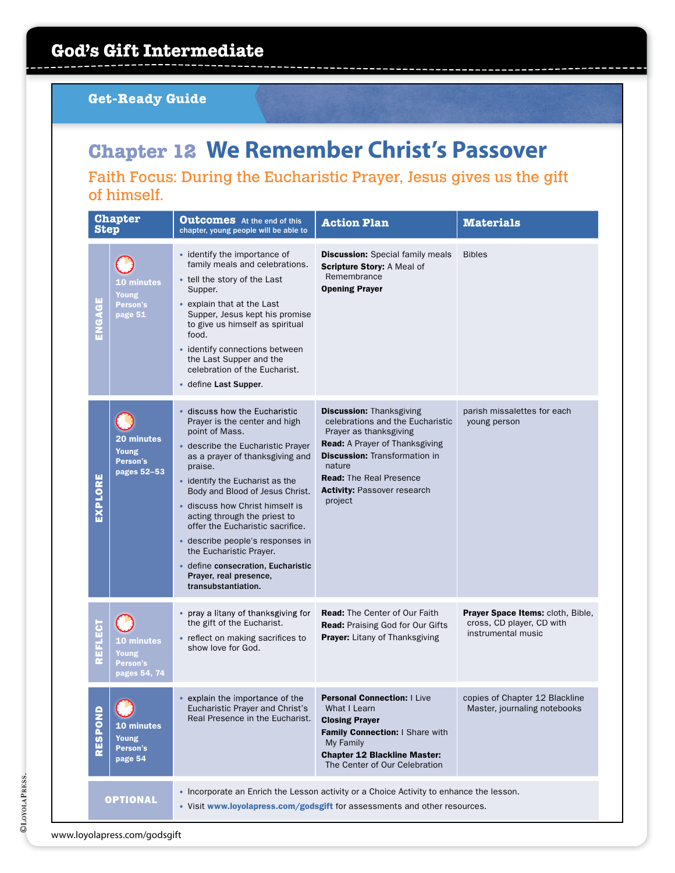# **Chapter 12 We Remember Christ's Passover**

#### Faith Focus: During the Eucharistic Prayer, Jesus gives us the gift of himself.

| <b>Step</b>    | <b>Chapter</b>                                    | <b>Outcomes</b> At the end of this<br>chapter, young people will be able to                                                                                                                                                                                                                                                                                                                                                                                                                            | <b>Action Plan</b>                                                                                                                                                                                                                                                          | <b>Materials</b>                                                                     |
|----------------|---------------------------------------------------|--------------------------------------------------------------------------------------------------------------------------------------------------------------------------------------------------------------------------------------------------------------------------------------------------------------------------------------------------------------------------------------------------------------------------------------------------------------------------------------------------------|-----------------------------------------------------------------------------------------------------------------------------------------------------------------------------------------------------------------------------------------------------------------------------|--------------------------------------------------------------------------------------|
| ENGAGE         | <b>10 minutes</b><br>Young<br>Person's<br>page 51 | • identify the importance of<br>family meals and celebrations.<br>• tell the story of the Last<br>Supper.<br>• explain that at the Last<br>Supper, Jesus kept his promise<br>to give us himself as spiritual<br>food.<br>• identify connections between<br>the Last Supper and the<br>celebration of the Eucharist.<br>• define Last Supper.                                                                                                                                                           | <b>Discussion:</b> Special family meals<br>Scripture Story: A Meal of<br>Remembrance<br><b>Opening Prayer</b>                                                                                                                                                               | <b>Bibles</b>                                                                        |
| EXPLORE        | 20 minutes<br>Young<br>Person's<br>pages 52-53    | • discuss how the Eucharistic<br>Prayer is the center and high<br>point of Mass.<br>• describe the Eucharistic Prayer<br>as a prayer of thanksgiving and<br>praise.<br>• identify the Eucharist as the<br>Body and Blood of Jesus Christ.<br>• discuss how Christ himself is<br>acting through the priest to<br>offer the Eucharistic sacrifice.<br>· describe people's responses in<br>the Eucharistic Prayer.<br>· define consecration, Eucharistic<br>Prayer, real presence,<br>transubstantiation. | <b>Discussion: Thanksgiving</b><br>celebrations and the Eucharistic<br>Prayer as thanksgiving<br><b>Read:</b> A Prayer of Thanksgiving<br><b>Discussion:</b> Transformation in<br>nature<br><b>Read:</b> The Real Presence<br><b>Activity: Passover research</b><br>project | parish missalettes for each<br>young person                                          |
| <b>REFLECT</b> | 10 minutes<br>Young<br>Person's<br>pages 54, 74   | • pray a litany of thanksgiving for<br>the gift of the Eucharist.<br>• reflect on making sacrifices to<br>show love for God.                                                                                                                                                                                                                                                                                                                                                                           | <b>Read:</b> The Center of Our Faith<br><b>Read: Praising God for Our Gifts</b><br>Prayer: Litany of Thanksgiving                                                                                                                                                           | Prayer Space Items: cloth, Bible,<br>cross, CD player, CD with<br>instrumental music |
| RESPOND        | 10 minutes<br>Young<br>Person's<br>page 54        | • explain the importance of the<br>Eucharistic Prayer and Christ's<br>Real Presence in the Eucharist.                                                                                                                                                                                                                                                                                                                                                                                                  | <b>Personal Connection:   Live</b><br>What I Learn<br><b>Closing Prayer</b><br>Family Connection: I Share with<br>My Family<br><b>Chapter 12 Blackline Master:</b><br>The Center of Our Celebration                                                                         | copies of Chapter 12 Blackline<br>Master, journaling notebooks                       |
|                | <b>OPTIONAL</b>                                   |                                                                                                                                                                                                                                                                                                                                                                                                                                                                                                        | • Incorporate an Enrich the Lesson activity or a Choice Activity to enhance the lesson.<br>• Visit www.loyolapress.com/godsgift for assessments and other resources.                                                                                                        |                                                                                      |

www.loyolapress.com/godsgift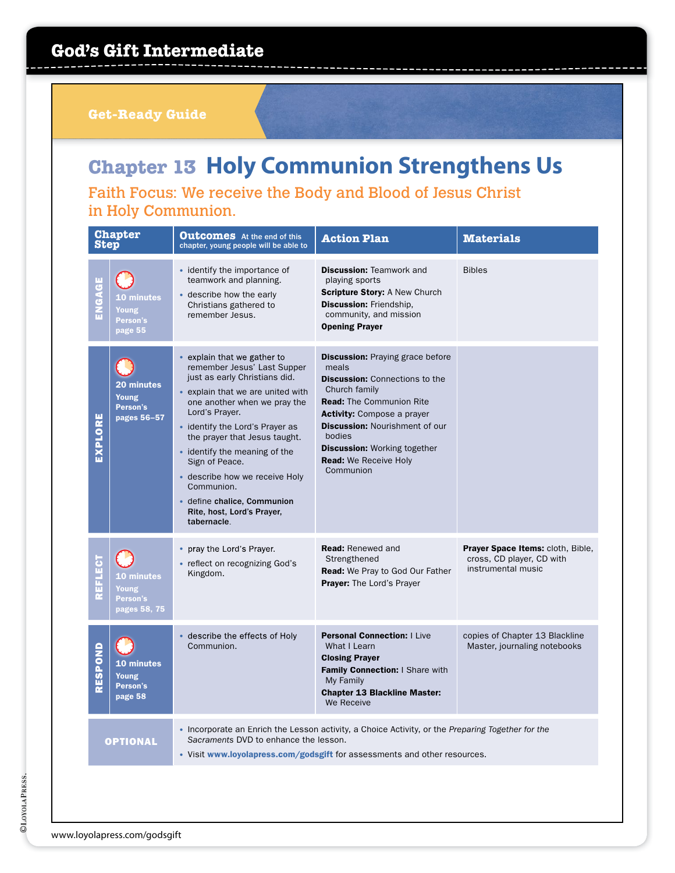**Get-Ready Guide**

# **Chapter 13 Holy Communion Strengthens Us**

Faith Focus: We receive the Body and Blood of Jesus Christ in Holy Communion.

| <b>Chapter</b><br><b>Step</b> |                                                        | <b>Outcomes</b> At the end of this<br>chapter, young people will be able to                                                                                                                                                                                                                                                                                                                                                           | <b>Action Plan</b>                                                                                                                                                                                                                                                                                                        | <b>Materials</b>                                                                     |  |  |
|-------------------------------|--------------------------------------------------------|---------------------------------------------------------------------------------------------------------------------------------------------------------------------------------------------------------------------------------------------------------------------------------------------------------------------------------------------------------------------------------------------------------------------------------------|---------------------------------------------------------------------------------------------------------------------------------------------------------------------------------------------------------------------------------------------------------------------------------------------------------------------------|--------------------------------------------------------------------------------------|--|--|
| ENGAGE                        | <b>10 minutes</b><br>Young<br>Person's<br>page 55      | • identify the importance of<br>teamwork and planning.<br>• describe how the early<br>Christians gathered to<br>remember Jesus.                                                                                                                                                                                                                                                                                                       | <b>Discussion: Teamwork and</b><br>playing sports<br><b>Scripture Story: A New Church</b><br><b>Discussion: Friendship.</b><br>community, and mission<br><b>Opening Prayer</b>                                                                                                                                            | <b>Bibles</b>                                                                        |  |  |
| EXPLORE                       | 20 minutes<br>Young<br>Person's<br>pages 56-57         | • explain that we gather to<br>remember Jesus' Last Supper<br>just as early Christians did.<br>• explain that we are united with<br>one another when we pray the<br>Lord's Prayer.<br>• identify the Lord's Prayer as<br>the prayer that Jesus taught.<br>• identify the meaning of the<br>Sign of Peace.<br>· describe how we receive Holy<br>Communion.<br>• define chalice, Communion<br>Rite, host, Lord's Prayer,<br>tabernacle. | <b>Discussion:</b> Praying grace before<br>meals<br><b>Discussion:</b> Connections to the<br>Church family<br><b>Read:</b> The Communion Rite<br><b>Activity:</b> Compose a prayer<br><b>Discussion: Nourishment of our</b><br>bodies<br><b>Discussion: Working together</b><br><b>Read:</b> We Receive Holy<br>Communion |                                                                                      |  |  |
| <b>REFLECT</b>                | <b>10 minutes</b><br>Young<br>Person's<br>pages 58, 75 | • pray the Lord's Prayer.<br>• reflect on recognizing God's<br>Kingdom.                                                                                                                                                                                                                                                                                                                                                               | <b>Read: Renewed and</b><br>Strengthened<br><b>Read:</b> We Pray to God Our Father<br>Prayer: The Lord's Prayer                                                                                                                                                                                                           | Prayer Space Items: cloth, Bible,<br>cross, CD player, CD with<br>instrumental music |  |  |
| RESPOND                       | 10 minutes<br>Young<br>Person's<br>page 58             | describe the effects of Holy<br>Communion.                                                                                                                                                                                                                                                                                                                                                                                            | <b>Personal Connection:   Live</b><br>What I Learn<br><b>Closing Prayer</b><br>Family Connection: I Share with<br>My Family<br><b>Chapter 13 Blackline Master:</b><br>We Receive                                                                                                                                          | copies of Chapter 13 Blackline<br>Master, journaling notebooks                       |  |  |
| <b>OPTIONAL</b>               |                                                        | • Incorporate an Enrich the Lesson activity, a Choice Activity, or the Preparing Together for the<br>Sacraments DVD to enhance the lesson.<br>• Visit www.loyolapress.com/godsgift for assessments and other resources.                                                                                                                                                                                                               |                                                                                                                                                                                                                                                                                                                           |                                                                                      |  |  |
|                               |                                                        |                                                                                                                                                                                                                                                                                                                                                                                                                                       |                                                                                                                                                                                                                                                                                                                           |                                                                                      |  |  |